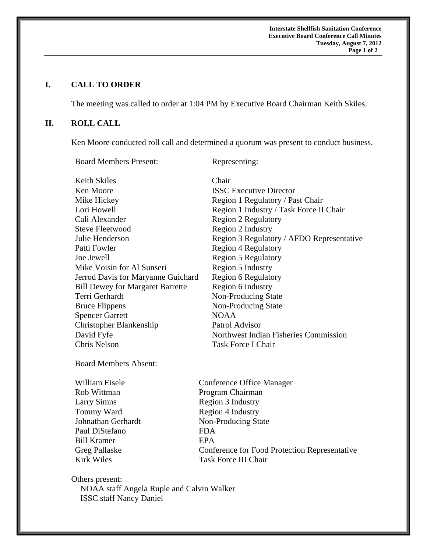**Interstate Shellfish Sanitation Conference Executive Board Conference Call Minutes Tuesday, August 7, 2012 Page 1 of 2** 

# **I. CALL TO ORDER**

The meeting was called to order at 1:04 PM by Executive Board Chairman Keith Skiles.

### **II. ROLL CALL**

Ken Moore conducted roll call and determined a quorum was present to conduct business.

Board Members Present: Representing: Keith Skiles Chair Ken Moore **ISSC Executive Director** Mike Hickey Region 1 Regulatory / Past Chair Lori Howell Region 1 Industry / Task Force II Chair Cali Alexander Region 2 Regulatory Steve Fleetwood Region 2 Industry Julie Henderson Region 3 Regulatory / AFDO Representative Patti Fowler Region 4 Regulatory Joe Jewell Region 5 Regulatory Mike Voisin for Al Sunseri Region 5 Industry Jerrod Davis for Maryanne Guichard Region 6 Regulatory Bill Dewey for Margaret Barrette Region 6 Industry Terri Gerhardt Non-Producing State Bruce Flippens Non-Producing State Spencer Garrett NOAA Christopher Blankenship Patrol Advisor David Fyfe Northwest Indian Fisheries Commission Chris Nelson Task Force I Chair

Board Members Absent:

Rob Wittman Program Chairman Larry Simns Region 3 Industry Tommy Ward Region 4 Industry Paul DiStefano FDA Bill Kramer **EPA** 

William Eisele **Conference Office Manager** Johnathan Gerhardt Non-Producing State Greg Pallaske Conference for Food Protection Representative Kirk Wiles Task Force III Chair

Others present: NOAA staff Angela Ruple and Calvin Walker ISSC staff Nancy Daniel